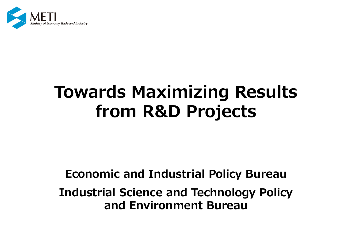

# **Towards Maximizing Results from R&D Projects**

### **Economic and Industrial Policy Bureau**

## **Industrial Science and Technology Policy and Environment Bureau**